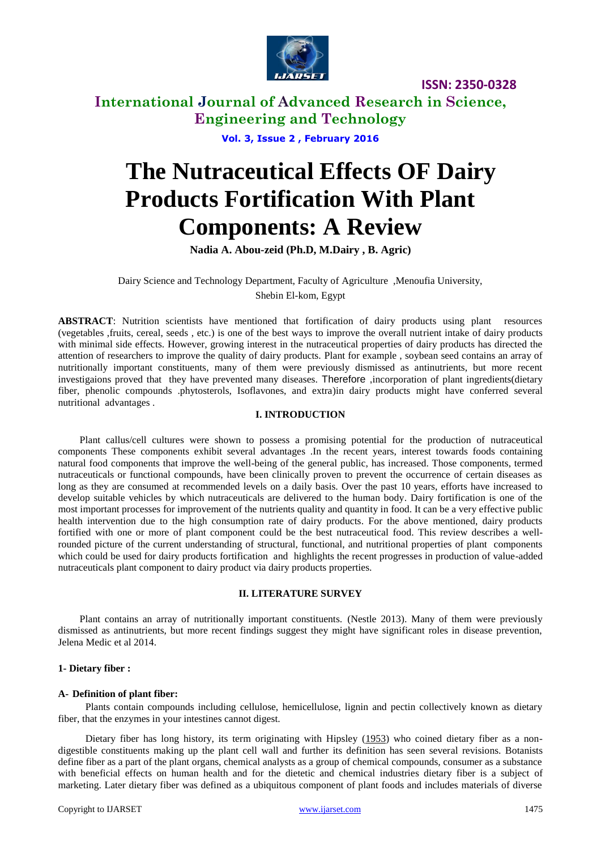

## **International Journal of Advanced Research in Science, Engineering and Technology**

**Vol. 3, Issue 2 , February 2016**

# **The Nutraceutical Effects OF Dairy Products Fortification With Plant Components: A Review**

**Nadia A. Abou-zeid (Ph.D, M.Dairy , B. Agric)**

Dairy Science and Technology Department, Faculty of Agriculture ,Menoufia University, Shebin El-kom, Egypt

**ABSTRACT**: Nutrition scientists have mentioned that fortification of dairy products using plant resources (vegetables ,fruits, cereal, seeds , etc.) is one of the best ways to improve the overall nutrient intake of dairy products with minimal side effects. However, growing interest in the nutraceutical properties of dairy products has directed the attention of researchers to improve the quality of dairy products. Plant for example , soybean seed contains an array of nutritionally important constituents, many of them were previously dismissed as antinutrients, but more recent investigaions proved that they have prevented many diseases. Therefore ,incorporation of plant ingredients(dietary fiber, phenolic compounds .phytosterols, Isoflavones, and extra)in dairy products might have conferred several nutritional advantages .

#### **I. INTRODUCTION**

Plant callus/cell cultures were shown to possess a promising potential for the production of nutraceutical components These components exhibit several advantages .In the recent years, interest towards foods containing natural food components that improve the well-being of the general public, has increased. Those components, termed nutraceuticals or functional compounds, have been clinically proven to prevent the occurrence of certain diseases as long as they are consumed at recommended levels on a daily basis. Over the past 10 years, efforts have increased to develop suitable vehicles by which nutraceuticals are delivered to the human body. Dairy fortification is one of the most important processes for improvement of the nutrients quality and quantity in food. It can be a very effective public health intervention due to the high consumption rate of dairy products. For the above mentioned, dairy products fortified with one or more of plant component could be the best nutraceutical food. This review describes a wellrounded picture of the current understanding of structural, functional, and nutritional properties of plant components which could be used for dairy products fortification and highlights the recent progresses in production of value-added nutraceuticals plant component to dairy product via dairy products properties.

#### **II. LITERATURE SURVEY**

Plant contains an array of nutritionally important constituents. (Nestle 2013). Many of them were previously dismissed as antinutrients, but more recent findings suggest they might have significant roles in disease prevention, Jelena Medic et al 2014.

#### **1- Dietary fiber :**

#### **A- Definition of plant fiber:**

Plants contain compounds including cellulose, hemicellulose, lignin and pectin collectively known as dietary fiber, that the enzymes in your intestines cannot digest.

Dietary fiber has long history, its term originating with Hipsley [\(1953\)](http://www.ncbi.nlm.nih.gov/pmc/articles/PMC3614039/#CR50) who coined dietary fiber as a nondigestible constituents making up the plant cell wall and further its definition has seen several revisions. Botanists define fiber as a part of the plant organs, chemical analysts as a group of chemical compounds, consumer as a substance with beneficial effects on human health and for the dietetic and chemical industries dietary fiber is a subject of marketing. Later dietary fiber was defined as a ubiquitous component of plant foods and includes materials of diverse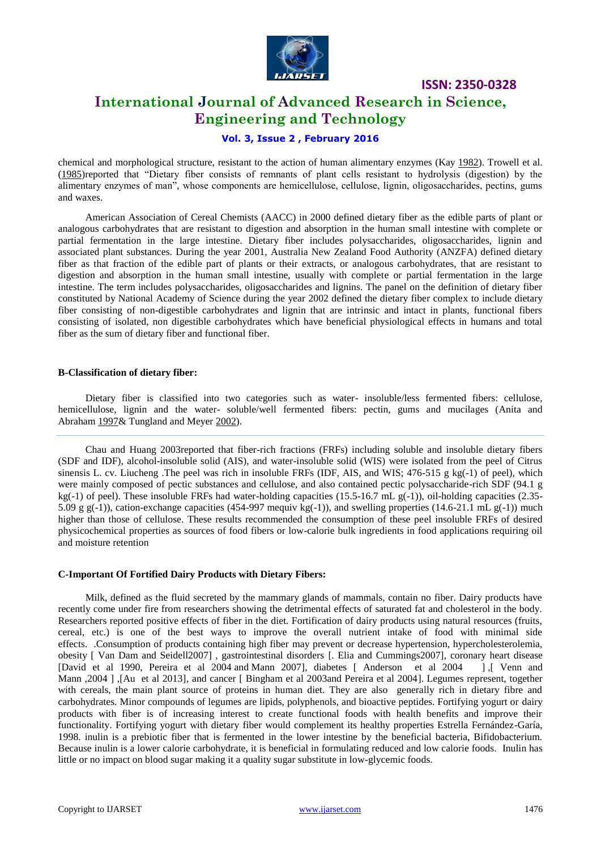

## **International Journal of Advanced Research in Science, Engineering and Technology**

#### **Vol. 3, Issue 2 , February 2016**

chemical and morphological structure, resistant to the action of human alimentary enzymes (Kay [1982\)](http://www.ncbi.nlm.nih.gov/pmc/articles/PMC3614039/#CR54). Trowell et al. [\(1985\)](http://www.ncbi.nlm.nih.gov/pmc/articles/PMC3614039/#CR99)reported that "Dietary fiber consists of remnants of plant cells resistant to hydrolysis (digestion) by the alimentary enzymes of man", whose components are hemicellulose, cellulose, lignin, oligosaccharides, pectins, gums and waxes.

American Association of Cereal Chemists (AACC) in 2000 defined dietary fiber as the edible parts of plant or analogous carbohydrates that are resistant to digestion and absorption in the human small intestine with complete or partial fermentation in the large intestine. Dietary fiber includes polysaccharides, oligosaccharides, lignin and associated plant substances. During the year 2001, Australia New Zealand Food Authority (ANZFA) defined dietary fiber as that fraction of the edible part of plants or their extracts, or analogous carbohydrates, that are resistant to digestion and absorption in the human small intestine, usually with complete or partial fermentation in the large intestine. The term includes polysaccharides, oligosaccharides and lignins. The panel on the definition of dietary fiber constituted by National Academy of Science during the year 2002 defined the dietary fiber complex to include dietary fiber consisting of non-digestible carbohydrates and lignin that are intrinsic and intact in plants, functional fibers consisting of isolated, non digestible carbohydrates which have beneficial physiological effects in humans and total fiber as the sum of dietary fiber and functional fiber.

#### **B-Classification of dietary fiber:**

Dietary fiber is classified into two categories such as water- insoluble/less fermented fibers: cellulose, hemicellulose, lignin and the water- soluble/well fermented fibers: pectin, gums and mucilages (Anita and Abraham [1997&](http://www.ncbi.nlm.nih.gov/pmc/articles/PMC3614039/#CR6) Tungland and Meyer [2002\)](http://www.ncbi.nlm.nih.gov/pmc/articles/PMC3614039/#CR101).

Chau and Huang 2003reported that fiber-rich fractions (FRFs) including soluble and insoluble dietary fibers (SDF and IDF), alcohol-insoluble solid (AIS), and water-insoluble solid (WIS) were isolated from the peel of Citrus sinensis L. cv. Liucheng .The peel was rich in insoluble FRFs (IDF, AIS, and WIS; 476-515 g kg(-1) of peel), which were mainly composed of pectic substances and cellulose, and also contained pectic polysaccharide-rich SDF (94.1 g kg(-1) of peel). These insoluble FRFs had water-holding capacities (15.5-16.7 mL g(-1)), oil-holding capacities (2.35-5.09 g g(-1)), cation-exchange capacities (454-997 mequiv kg(-1)), and swelling properties (14.6-21.1 mL g(-1)) much higher than those of cellulose. These results recommended the consumption of these peel insoluble FRFs of desired physicochemical properties as sources of food fibers or low-calorie bulk ingredients in food applications requiring oil and moisture retention

#### **C-Important Of Fortified Dairy Products with Dietary Fibers:**

Milk, defined as the fluid secreted by the mammary glands of mammals, contain no fiber. Dairy products have recently come under fire from researchers showing the detrimental effects of saturated fat and cholesterol in the body. Researchers reported positive effects of fiber in the diet. Fortification of dairy products using natural resources (fruits, cereal, etc.) is one of the best ways to improve the overall nutrient intake of food with minimal side effects. .Consumption of products containing high fiber may prevent or decrease hypertension, hypercholesterolemia, obesity [ Van Dam and Seidell2007], gastrointestinal disorders [\[. Elia and Cummings2007\],](http://www.sciencedirect.com/science/article/pii/S2213453015000178#bib0730) coronary heart disease [David et al 1990, Pereira et al 2004 and Mann 2007], diabetes [ Anderson et al 2004 ], [ Venn and [\[David](http://www.sciencedirect.com/science/article/pii/S2213453015000178#bib0735) [et al 1990, Pereira et al 2004](http://www.sciencedirect.com/science/article/pii/S2213453015000178#bib0735) and [Mann 2007\],](http://www.sciencedirect.com/science/article/pii/S2213453015000178#bib0740) diabetes [ Anderson et al 2004 [Mann ,2004 \] ,\[Au et al 2013\],](http://www.sciencedirect.com/science/article/pii/S2213453015000178#bib0750) and cancer [\[ Bingham et al 2003and Pereira et al 2004\].](http://www.sciencedirect.com/science/article/pii/S2213453015000178#bib0755) Legumes represent, together with cereals, the main plant source of proteins in human diet. They are also generally rich in dietary fibre and carbohydrates. Minor compounds of legumes are lipids, polyphenols, and bioactive peptides. Fortifying yogurt or dairy products with fiber is of increasing interest to create functional foods with health benefits and improve their functionality. Fortifying yogurt with dietary fiber would complement its healthy properties Estrella Fernández-Garía, 1998. inulin is a prebiotic fiber that is fermented in the lower intestine by the beneficial bacteria, Bifidobacterium. Because inulin is a lower calorie carbohydrate, it is beneficial in formulating reduced and low calorie foods. Inulin has little or no impact on blood sugar making it a quality sugar substitute in low-glycemic foods.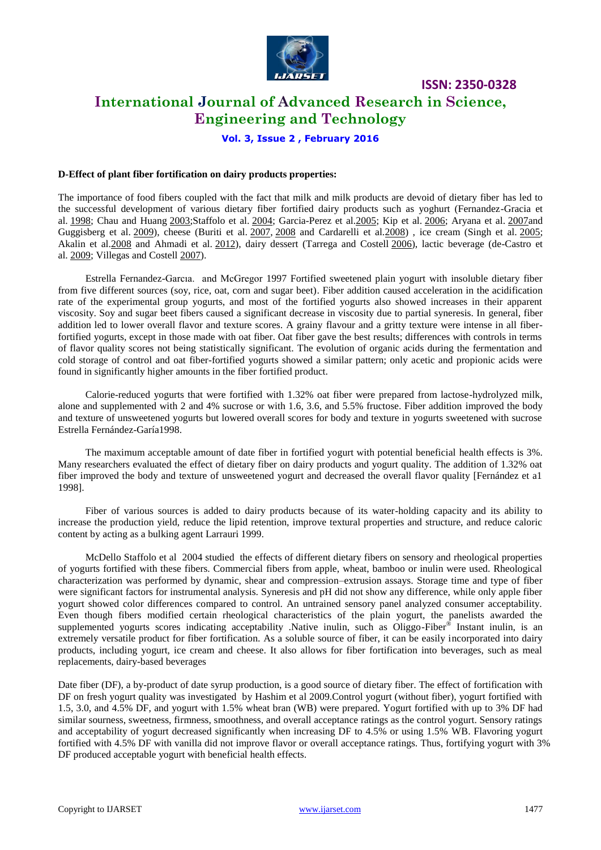

## **International Journal of Advanced Research in Science, Engineering and Technology**

**ISSN: 2350-0328**

#### **Vol. 3, Issue 2 , February 2016**

#### **D-Effect of plant fiber fortification on dairy products properties:**

The importance of food fibers coupled with the fact that milk and milk products are devoid of dietary fiber has led to the successful development of various dietary fiber fortified dairy products such as yoghurt (Fernandez-Gracia et al. [1998;](http://www.ncbi.nlm.nih.gov/pmc/articles/PMC4571245/#CR22) Chau and Huang [2003;](http://www.ncbi.nlm.nih.gov/pmc/articles/PMC3614039/#CR24)Staffolo et al. [2004;](http://www.ncbi.nlm.nih.gov/pmc/articles/PMC4571245/#CR46) Garcia-Perez et a[l.2005;](http://www.ncbi.nlm.nih.gov/pmc/articles/PMC4571245/#CR24) Kip et al. [2006;](http://www.ncbi.nlm.nih.gov/pmc/articles/PMC4571245/#CR32) Aryana et al. [2007a](http://www.ncbi.nlm.nih.gov/pmc/articles/PMC4571245/#CR10)nd Guggisberg et al. [2009\)](http://www.ncbi.nlm.nih.gov/pmc/articles/PMC4571245/#CR28), cheese (Buriti et al. [2007,](http://www.ncbi.nlm.nih.gov/pmc/articles/PMC4571245/#CR13) [2008](http://www.ncbi.nlm.nih.gov/pmc/articles/PMC4571245/#CR14) and Cardarelli et al. 2008), ice cream (Singh et al. [2005;](http://www.ncbi.nlm.nih.gov/pmc/articles/PMC4571245/#CR45) Akalin et al[.2008](http://www.ncbi.nlm.nih.gov/pmc/articles/PMC4571245/#CR5) and Ahmadi et al. [2012\)](http://www.ncbi.nlm.nih.gov/pmc/articles/PMC4571245/#CR3), dairy dessert (Tarrega and Costell [2006\)](http://www.ncbi.nlm.nih.gov/pmc/articles/PMC4571245/#CR48), lactic beverage (de-Castro et al. [2009;](http://www.ncbi.nlm.nih.gov/pmc/articles/PMC4571245/#CR18) Villegas and Costell [2007\)](http://www.ncbi.nlm.nih.gov/pmc/articles/PMC4571245/#CR49).

Estrella Fernandez-Garcıa. and McGregor 1997 Fortified sweetened plain yogurt with insoluble dietary fiber from five different sources (soy, rice, oat, corn and sugar beet). Fiber addition caused acceleration in the acidification rate of the experimental group yogurts, and most of the fortified yogurts also showed increases in their apparent viscosity. Soy and sugar beet fibers caused a significant decrease in viscosity due to partial syneresis. In general, fiber addition led to lower overall flavor and texture scores. A grainy flavour and a gritty texture were intense in all fiberfortified yogurts, except in those made with oat fiber. Oat fiber gave the best results; differences with controls in terms of flavor quality scores not being statistically significant. The evolution of organic acids during the fermentation and cold storage of control and oat fiber-fortified yogurts showed a similar pattern; only acetic and propionic acids were found in significantly higher amounts in the fiber fortified product.

Calorie-reduced yogurts that were fortified with 1.32% oat fiber were prepared from lactose-hydrolyzed milk, alone and supplemented with 2 and 4% sucrose or with 1.6, 3.6, and 5.5% fructose. Fiber addition improved the body and texture of unsweetened yogurts but lowered overall scores for body and texture in yogurts sweetened with sucrose Estrella Fernández-Garía1998.

The maximum acceptable amount of date fiber in fortified yogurt with potential beneficial health effects is 3%. Many researchers evaluated the effect of dietary fiber on dairy products and yogurt quality. The addition of 1.32% oat fiber improved the body and texture of unsweetened yogurt and decreased the overall flavor quality [Fernández et a1 1998].

Fiber of various sources is added to dairy products because of its water-holding capacity and its ability to increase the production yield, reduce the lipid retention, improve textural properties and structure, and reduce caloric content by acting as a bulking agent Larrauri 1999.

[McDello Staffolo](http://www.sciencedirect.com/science/article/pii/S095869460300195X) et al 2004 studied the effects of different dietary fibers on sensory and rheological properties of yogurts fortified with these fibers. Commercial fibers from apple, wheat, bamboo or inulin were used. Rheological characterization was performed by dynamic, shear and compression–extrusion assays. Storage time and type of fiber were significant factors for instrumental analysis. Syneresis and pH did not show any difference, while only apple fiber yogurt showed color differences compared to control. An untrained sensory panel analyzed consumer acceptability. Even though fibers modified certain rheological characteristics of the plain yogurt, the panelists awarded the supplemented yogurts scores indicating acceptability .Native inulin, such as Oliggo-Fiber<sup>®</sup> Instant inulin, is an extremely versatile product for fiber fortification. As a soluble source of fiber, it can be easily incorporated into dairy products, including yogurt, ice cream and cheese. It also allows for fiber fortification into beverages, such as meal replacements, dairy-based beverages

Date fiber (DF), a by-product of date syrup production, is a good source of dietary fiber. The effect of fortification with DF on fresh yogurt quality was investigated by Hashim et al 2009.Control yogurt (without fiber), yogurt fortified with 1.5, 3.0, and 4.5% DF, and yogurt with 1.5% wheat bran (WB) were prepared. Yogurt fortified with up to 3% DF had similar sourness, sweetness, firmness, smoothness, and overall acceptance ratings as the control yogurt. Sensory ratings and acceptability of yogurt decreased significantly when increasing DF to 4.5% or using 1.5% WB. Flavoring yogurt fortified with 4.5% DF with vanilla did not improve flavor or overall acceptance ratings. Thus, fortifying yogurt with 3% DF produced acceptable yogurt with beneficial health effects.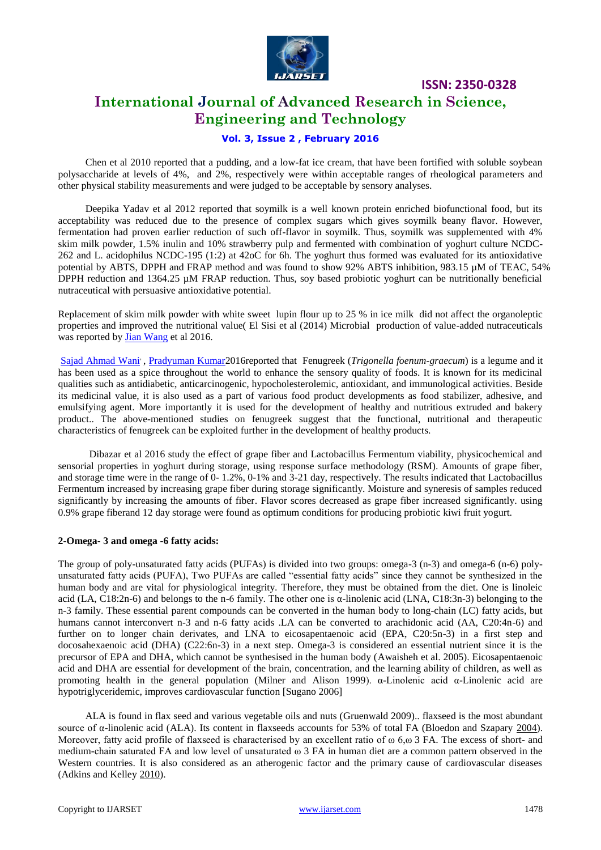

## **International Journal of Advanced Research in Science, Engineering and Technology**

#### **Vol. 3, Issue 2 , February 2016**

[Chen et al 2010 reported that a pudding, and a low-fat ice cream, that have been fortified with soluble soybean](http://www.ncbi.nlm.nih.gov/pubmed/?term=Chen%20W%5BAuthor%5D&cauthor=true&cauthor_uid=20722900)  [polysaccharide at levels of 4%, and 2%, respectively were within acceptable ranges of rheological parameters and](http://www.ncbi.nlm.nih.gov/pubmed/?term=Chen%20W%5BAuthor%5D&cauthor=true&cauthor_uid=20722900)  [other physical stability measurements and were judged to be acceptable by sensory analyses.](http://www.ncbi.nlm.nih.gov/pubmed/?term=Chen%20W%5BAuthor%5D&cauthor=true&cauthor_uid=20722900) 

Deepika Yadav et al 2012 reported that soymilk is a well known protein enriched biofunctional food, but its acceptability was reduced due to the presence of complex sugars which gives soymilk beany flavor. However, fermentation had proven earlier reduction of such off-flavor in soymilk. Thus, soymilk was supplemented with 4% skim milk powder, 1.5% inulin and 10% strawberry pulp and fermented with combination of yoghurt culture NCDC-262 and L. acidophilus NCDC-195 (1:2) at 42oC for 6h. The yoghurt thus formed was evaluated for its antioxidative potential by ABTS, DPPH and FRAP method and was found to show 92% ABTS inhibition, 983.15 µM of TEAC, 54% DPPH reduction and 1364.25 µM FRAP reduction. Thus, soy based probiotic yoghurt can be nutritionally beneficial nutraceutical with persuasive antioxidative potential.

Replacement of skim milk powder with white sweet lupin flour up to 25 % in ice milk did not affect the organoleptic properties and improved the nutritional value( El Sisi et al (2014) Microbial production of value-added nutraceuticals was reported by **Jian Wang** et al 2016.

[Sajad Ahmad Wani](http://www.sciencedirect.com/science/article/pii/S1658077X15301065)', [Pradyuman Kumar2](http://www.sciencedirect.com/science/article/pii/S1658077X15301065)016reported that Fenugreek (Trigonella foenum-graecum) is a legume and it has been used as a spice throughout the world to enhance the sensory quality of foods. It is known for its medicinal qualities such as antidiabetic, anticarcinogenic, hypocholesterolemic, antioxidant, and immunological activities. Beside its medicinal value, it is also used as a part of various food product developments as food stabilizer, adhesive, and emulsifying agent. More importantly it is used for the development of healthy and nutritious extruded and bakery product.. The above-mentioned studies on fenugreek suggest that the functional, nutritional and therapeutic characteristics of fenugreek can be exploited further in the development of healthy products.

Dibazar et al 2016 study the effect of grape fiber and Lactobacillus Fermentum viability, physicochemical and sensorial properties in yoghurt during storage, using response surface methodology (RSM). Amounts of grape fiber, and storage time were in the range of 0- 1.2%, 0-1% and 3-21 day, respectively. The results indicated that Lactobacillus Fermentum increased by increasing grape fiber during storage significantly. Moisture and syneresis of samples reduced significantly by increasing the amounts of fiber. Flavor scores decreased as grape fiber increased significantly. using 0.9% grape fiberand 12 day storage were found as optimum conditions for producing probiotic kiwi fruit yogurt.

#### **2-Omega- 3 and omega -6 fatty acids:**

The group of poly-unsaturated fatty acids (PUFAs) is divided into two groups: omega-3 (n-3) and omega-6 (n-6) polyunsaturated fatty acids (PUFA), Two PUFAs are called "essential fatty acids" since they cannot be synthesized in the human body and are vital for physiological integrity. Therefore, they must be obtained from the diet. One is linoleic acid (LA, C18:2n-6) and belongs to the n-6 family. The other one is α-linolenic acid (LNA, C18:3n-3) belonging to the n-3 family. These essential parent compounds can be converted in the human body to long-chain (LC) fatty acids, but humans cannot interconvert n-3 and n-6 fatty acids .LA can be converted to arachidonic acid (AA, C20:4n-6) and further on to longer chain derivates, and LNA to eicosapentaenoic acid (EPA, C20:5n-3) in a first step and docosahexaenoic acid (DHA) (C22:6n-3) in a next step. Omega-3 is considered an essential nutrient since it is the precursor of EPA and DHA, which cannot be synthesised in the human body [\(Awaisheh et](http://onlinelibrary.wiley.com/doi/10.1111/j.1471-0307.2009.00547.x/full#b8) al. 2005). Eicosapentaenoic acid and DHA are essential for development of the brain, concentration, and the learning ability of children, as well as promoting health in the general population [\(Milner and Alison 1999\)](http://onlinelibrary.wiley.com/doi/10.1111/j.1471-0307.2009.00547.x/full#b73).  $\alpha$ -Linolenic acid  $\alpha$ -Linolenic acid are hypotriglyceridemic, improves cardiovascular function [Sugano 2006]

ALA is found in flax seed and various vegetable oils and nuts [\(Gruenwald 2009\)](http://onlinelibrary.wiley.com/doi/10.1111/j.1471-0307.2009.00547.x/full#b38).. flaxseed is the most abundant source of α-linolenic acid (ALA). Its content in flaxseeds accounts for 53% of total FA (Bloedon and Szapary [2004\)](http://onlinelibrary.wiley.com/doi/10.1111/1471-0307.12235/full#idt12235-bib-0005). Moreover, fatty acid profile of flaxseed is characterised by an excellent ratio of  $\omega$  6, $\omega$  3 FA. The excess of short- and medium-chain saturated FA and low level of unsaturated ω 3 FA in human diet are a common pattern observed in the Western countries. It is also considered as an atherogenic factor and the primary cause of cardiovascular diseases (Adkins and Kelley [2010\)](http://onlinelibrary.wiley.com/doi/10.1111/1471-0307.12235/full#idt12235-bib-0001).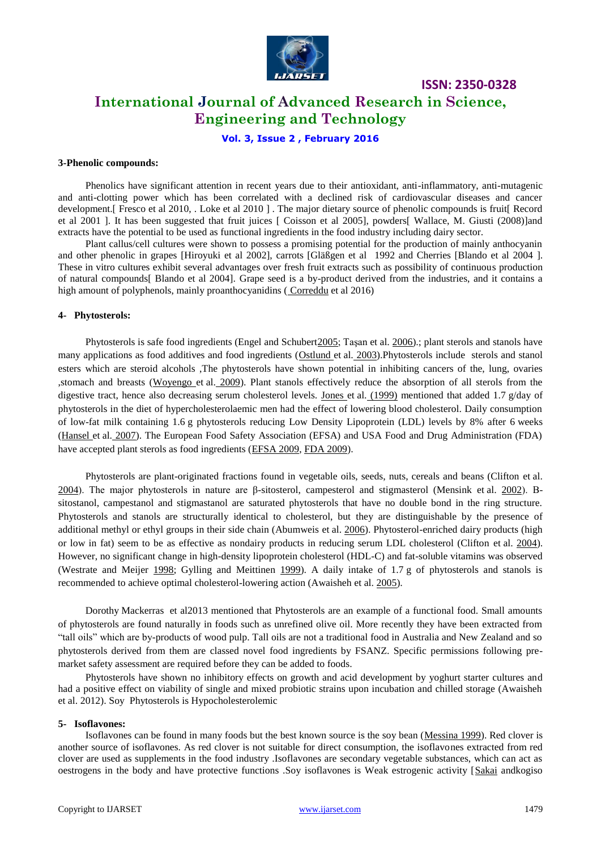

## **International Journal of Advanced Research in Science, Engineering and Technology**

**Vol. 3, Issue 2 , February 2016**

#### **3-Phenolic compounds:**

Phenolics have significant attention in recent years due to their antioxidant, anti-inflammatory, anti-mutagenic and anti-clotting power which has been correlated with a declined risk of cardiovascular diseases and cancer development. [ Fresco et al 2010, . Loke et al 2010 [\]](http://www.sciencedirect.com/science/article/pii/S2213453015000178#bib0770) . The major dietary source of phenolic compounds is fruit [ Record et al 2001 [\].](http://www.sciencedirect.com/science/article/pii/S2213453015000178#bib0780) It has been suggested that fruit juices [ Coisson et al 2005], powders[ Wallace, M. Giusti (2008)]and extracts have the potential to be used as functional ingredients in the food industry including dairy sector.

Plant callus/cell cultures were shown to possess a promising potential for the production of mainly anthocyanin and other phenolic in grapes [Hiroyuki et al 2002], carrots [Gläßgen et al [1992](http://www.sciencedirect.com/science/article/pii/S2213453015000178#bib0805) and Cherries [Blando et al 2004 [\].](http://www.sciencedirect.com/science/article/pii/S2213453015000178#bib0795) These in vitro cultures exhibit several advantages over fresh fruit extracts such as possibility of continuous production of natural compounds[ Blando et al 2004]. Grape seed is a by-product derived from the industries, and it contains a high amount of polyphenols, mainly proanthocyanidins ([Correddu](javascript:void(0);) et al 2016)

#### **4- Phytosterols:**

Phytosterols is safe food ingredients (Engel and Schuber[t2005;](http://onlinelibrary.wiley.com/doi/10.1111/1471-0307.12207/full#idt12207-bib-0009) Taşan et al[. 2006\)](http://onlinelibrary.wiley.com/doi/10.1111/1471-0307.12207/full#idt12207-bib-0037).; plant sterols and stanols have many applications as food additives and food ingredients [\(Ostlund et](http://onlinelibrary.wiley.com/doi/10.1111/j.1471-0307.2009.00547.x/full#b79) al. 2003).Phytosterols include sterols and stanol esters which are steroid alcohols ,The phytosterols have shown potential in inhibiting cancers of the, lung, ovaries ,stomach and breasts [\(Woyengo et](http://onlinelibrary.wiley.com/doi/10.1111/j.1471-0307.2009.00547.x/full#b121) al. 2009). Plant stanols effectively reduce the absorption of all sterols from the digestive tract, hence also decreasing serum cholesterol levels. [Jones et](http://onlinelibrary.wiley.com/doi/10.1111/j.1471-0307.2009.00547.x/full#b54) al. (1999) mentioned that added 1.7 g/day of phytosterols in the diet of hypercholesterolaemic men had the effect of lowering blood cholesterol. Daily consumption of low-fat milk containing 1.6 g phytosterols reducing Low Density Lipoprotein (LDL) levels by 8% after 6 weeks [\(Hansel et](http://onlinelibrary.wiley.com/doi/10.1111/j.1471-0307.2009.00547.x/full#b41) al. 2007). The European Food Safety Association (EFSA) and USA Food and Drug Administration (FDA) have accepted plant sterols as food ingredients [\(EFSA 2009,](http://onlinelibrary.wiley.com/doi/10.1111/j.1471-0307.2009.00547.x/full#b26) [FDA 2009\)](http://onlinelibrary.wiley.com/doi/10.1111/j.1471-0307.2009.00547.x/full#b29).

Phytosterols are plant-originated fractions found in vegetable oils, seeds, nuts, cereals and beans (Clifton et al. [2004\)](http://onlinelibrary.wiley.com/doi/10.1111/1471-0307.12207/full#idt12207-bib-0007). The major phytosterols in nature are β-sitosterol, campesterol and stigmasterol (Mensink et al. [2002\)](http://onlinelibrary.wiley.com/doi/10.1111/1471-0307.12207/full#idt12207-bib-0027). Βsitostanol, campestanol and stigmastanol are saturated phytosterols that have no double bond in the ring structure. Phytosterols and stanols are structurally identical to cholesterol, but they are distinguishable by the presence of additional methyl or ethyl groups in their side chain (Abumweis et al. [2006\)](http://onlinelibrary.wiley.com/doi/10.1111/1471-0307.12207/full#idt12207-bib-0001). Phytosterol-enriched dairy products (high or low in fat) seem to be as effective as nondairy products in reducing serum LDL cholesterol (Clifton et al. [2004\)](http://onlinelibrary.wiley.com/doi/10.1111/1471-0307.12207/full#idt12207-bib-0007). However, no significant change in high-density lipoprotein cholesterol (HDL-C) and fat-soluble vitamins was observed (Westrate and Meijer [1998;](http://onlinelibrary.wiley.com/doi/10.1111/1471-0307.12207/full#idt12207-bib-0040) Gylling and Meittinen [1999\)](http://onlinelibrary.wiley.com/doi/10.1111/1471-0307.12207/full#idt12207-bib-0015). A daily intake of 1.7 g of phytosterols and stanols is recommended to achieve optimal cholesterol-lowering action (Awaisheh et al. [2005\)](http://onlinelibrary.wiley.com/doi/10.1111/1471-0307.12207/full#idt12207-bib-0003).

Dorothy Mackerra[s](mailto:dorothy.mackerras@foodstandards.gov.au) et al2013 mentioned that Phytosterols are an example of a functional food. Small amounts of phytosterols are found naturally in foods such as unrefined olive oil. More recently they have been extracted from "tall oils" which are by-products of wood pulp. Tall oils are not a traditional food in Australia and New Zealand and so phytosterols derived from them are classed novel food ingredients by FSANZ. Specific permissions following premarket safety assessment are required before they can be added to foods.

Phytosterols have shown no inhibitory effects on growth and acid development by yoghurt starter cultures and had a positive effect on viability of single and mixed probiotic strains upon incubation and chilled storage (Awaisheh et al[. 2012\)](http://onlinelibrary.wiley.com/doi/10.1111/1471-0307.12207/full#idt12207-bib-0004). Soy Phytosterols is Hypocholesterolemic

#### **5- Isoflavones:**

Isoflavones can be found in many foods but the best known source is the soy bean [\(Messina 1999\)](http://onlinelibrary.wiley.com/doi/10.1111/j.1471-0307.2009.00547.x/full#b72). Red clover is another source of isoflavones. As red clover is not suitable for direct consumption, the isoflavones extracted from red clover are used as supplements in the food industry .Isoflavones are secondary vegetable substances, which can act as oestrogens in the body and have protective functions .Soy isoflavones is Weak estrogenic activity [\[Sakai](http://link.springer.com/article/10.1007/s11746-013-2407-9/fulltext.html#CR23) andkogiso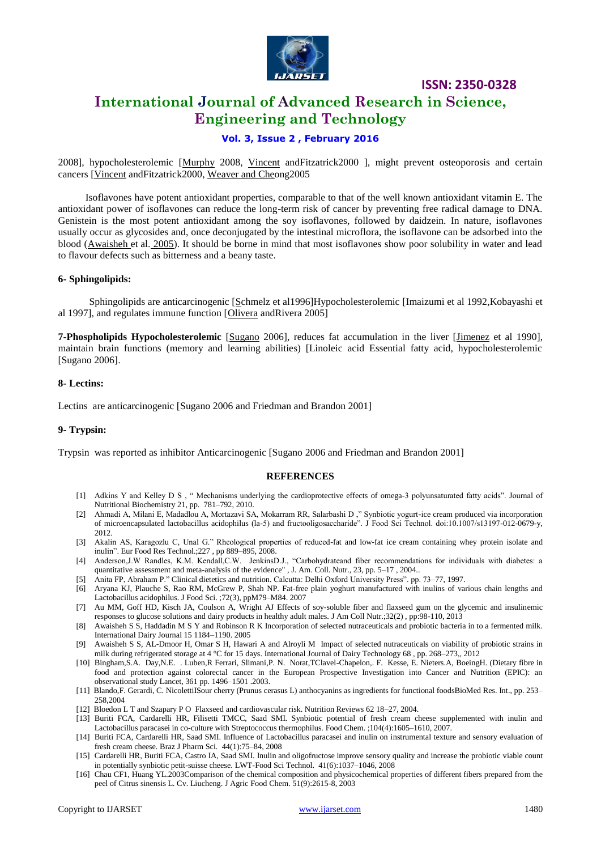

## **International Journal of Advanced Research in Science, Engineering and Technology**

#### **Vol. 3, Issue 2 , February 2016**

2008], hypocholesterolemic [\[Murphy](http://link.springer.com/article/10.1007/s11746-013-2407-9/fulltext.html#CR24) 2008, [Vincent](http://link.springer.com/article/10.1007/s11746-013-2407-9/fulltext.html#CR25) andFitzatrick2000 ], might prevent osteoporosis and certain cancers [\[Vincent](http://link.springer.com/article/10.1007/s11746-013-2407-9/fulltext.html#CR25) andFitzatrick2000[, Weaver and Cheo](http://link.springer.com/article/10.1007/s11746-013-2407-9/fulltext.html#CR26)ng2005

Isoflavones have potent antioxidant properties, comparable to that of the well known antioxidant vitamin E. The antioxidant power of isoflavones can reduce the long-term risk of cancer by preventing free radical damage to DNA. Genistein is the most potent antioxidant among the soy isoflavones, followed by daidzein. In nature, isoflavones usually occur as glycosides and, once deconjugated by the intestinal microflora, the isoflavone can be adsorbed into the blood [\(Awaisheh et](http://onlinelibrary.wiley.com/doi/10.1111/j.1471-0307.2009.00547.x/full#b8) al. 2005). It should be borne in mind that most isoflavones show poor solubility in water and lead to flavour defects such as bitterness and a beany taste.

#### **6- Sphingolipids:**

Sphingolipids are anticarcinogenic [\[Sc](http://link.springer.com/article/10.1007/s11746-013-2407-9/fulltext.html#CR11)hmelz et al1996]Hypocholesterolemic [Imaizumi et al 1992,Kobayashi et al 1997], and regulates immune function [\[Olivera](http://link.springer.com/article/10.1007/s11746-013-2407-9/fulltext.html#CR18) andRivera 2005]

**7-Phospholipids Hypocholesterolemic** [\[Sugano](http://link.springer.com/article/10.1007/s11746-013-2407-9/fulltext.html#CR9) 2006], reduces fat accumulation in the liver [\[Jimenez](http://link.springer.com/article/10.1007/s11746-013-2407-9/fulltext.html#CR10) et al 1990], maintain brain functions (memory and learning abilities) [Linoleic acid Essential fatty acid, hypocholesterolemic [Sugano 2006].

#### **8- Lectins:**

Lectins are anticarcinogenic [Sugano 2006 and Friedman and Brandon 2001]

#### **9- Trypsin:**

Trypsin was reported as inhibitor Anticarcinogenic [Sugano 2006 and Friedman and Brandon 2001]

#### **REFERENCES**

- [1] Adkins Y and Kelley D S , " Mechanisms underlying the cardioprotective effects of omega-3 polyunsaturated fatty acids". Journal of Nutritional Biochemistry 21, pp. 781–792, 2010.
- [2] Ahmadi A, Milani E, Madadlou A, Mortazavi SA, Mokarram RR, Salarbashi D ," Synbiotic yogurt-ice cream produced via incorporation of microencapsulated lactobacillus acidophilus (la-5) and fructooligosaccharide". J Food Sci Technol. doi:10.1007/s13197-012-0679-y, 2012.
- [3] Akalin AS, Karagozlu C, Unal G." Rheological properties of reduced-fat and low-fat ice cream containing whey protein isolate and inulin". Eur Food Res Technol.;227 , pp 889–895, 2008.
- [4] Anderson,J.W Randles, K.M. Kendall,C.W. JenkinsD.J., "Carbohydrateand fiber recommendations for individuals with diabetes: a quantitative assessment and meta-analysis of the evidence", J. Am. Coll. Nutr., 23, pp. 5-17, 2004..
- [5] Anita FP, Abraham P." Clinical dietetics and nutrition. Calcutta: Delhi Oxford University Press". pp. 73–77, 1997.
- [6] Aryana KJ, Plauche S, Rao RM, McGrew P, Shah NP. Fat-free plain yoghurt manufactured with inulins of various chain lengths and Lactobacillus acidophilus. J Food Sci. ;72(3), ppM79–M84. 2007
- [7] [Au MM,](http://www.ncbi.nlm.nih.gov/pubmed/?term=Au%20MM%5BAuthor%5D&cauthor=true&cauthor_uid=24015717) [Goff HD,](http://www.ncbi.nlm.nih.gov/pubmed/?term=Goff%20HD%5BAuthor%5D&cauthor=true&cauthor_uid=24015717) [Kisch JA,](http://www.ncbi.nlm.nih.gov/pubmed/?term=Kisch%20JA%5BAuthor%5D&cauthor=true&cauthor_uid=24015717) [Coulson A,](http://www.ncbi.nlm.nih.gov/pubmed/?term=Coulson%20A%5BAuthor%5D&cauthor=true&cauthor_uid=24015717) [Wright AJ](http://www.ncbi.nlm.nih.gov/pubmed/?term=Wright%20AJ%5BAuthor%5D&cauthor=true&cauthor_uid=24015717) Effects of soy-soluble fiber and flaxseed gum on the glycemic and insulinemic responses to glucose solutions and dairy products in healthy adult males[. J Am Coll Nutr.;](http://www.ncbi.nlm.nih.gov/pubmed/24015717)32(2) , pp:98-110, 2013
- [8] Awaisheh S S, Haddadin M S Y and Robinson R K Incorporation of selected nutraceuticals and probiotic bacteria in to a fermented milk. International Dairy Journal 15 1184–1190. 2005
- [9] Awaisheh S S, AL-Dmoor H, Omar S H, Hawari A and Alroyli M Impact of selected nutraceuticals on viability of probiotic strains in milk during refrigerated storage at 4 °C for 15 days. International Journal of Dairy Technology 68 , pp. 268–273,, 2012
- [10] Bingham,S.A. Day,N.E. . Luben,R Ferrari, Slimani,P. N. Norat,TClavel-Chapelon,. F. Kesse, E. Nieters.A, BoeingH. (Dietary fibre in food and protection against colorectal cancer in the European Prospective Investigation into Cancer and Nutrition (EPIC): an observational study Lancet, 361 pp. 1496–1501 .2003.
- [11] Blando,F. Gerardi, C. NicolettiISour cherry (Prunus cerasus L) anthocyanins as ingredients for functional foodsBioMed Res. Int., pp. 253– 258,2004
- [12] Bloedon L T and Szapary P O Flaxseed and cardiovascular risk. Nutrition Reviews 62 18–27, 2004.
- [13] Buriti FCA, Cardarelli HR, Filisetti TMCC, Saad SMI. Synbiotic potential of fresh cream cheese supplemented with inulin and Lactobacillus paracasei in co-culture with Streptococcus thermophilus. Food Chem. ;104(4):1605–1610, 2007.
- [14] Buriti FCA, Cardarelli HR, Saad SMI. Influence of Lactobacillus paracasei and inulin on instrumental texture and sensory evaluation of fresh cream cheese. Braz J Pharm Sci. 44(1):75–84, 2008
- [15] Cardarelli HR, Buriti FCA, Castro IA, Saad SMI. Inulin and oligofructose improve sensory quality and increase the probiotic viable count in potentially synbiotic petit-suisse cheese. LWT-Food Sci Technol. 41(6):1037–1046, 2008
- [16] Chau CF1, Huang YL.2003Comparison of the chemical composition and physicochemical properties of different fibers prepared from the peel of Citrus sinensis L. Cv. Liucheng. J Agric Food Chem. 51(9):2615-8, 2003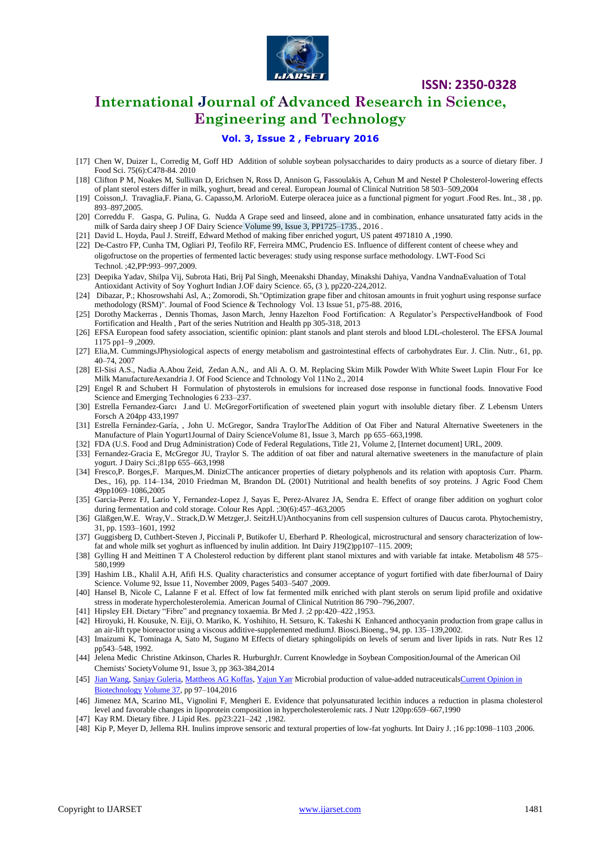

## **International Journal of Advanced Research in Science, Engineering and Technology**

#### **Vol. 3, Issue 2 , February 2016**

- [17] [Chen W,](http://www.ncbi.nlm.nih.gov/pubmed/?term=Chen%20W%5BAuthor%5D&cauthor=true&cauthor_uid=20722900) [Duizer L,](http://www.ncbi.nlm.nih.gov/pubmed/?term=Duizer%20L%5BAuthor%5D&cauthor=true&cauthor_uid=20722900) [Corredig M,](http://www.ncbi.nlm.nih.gov/pubmed/?term=Corredig%20M%5BAuthor%5D&cauthor=true&cauthor_uid=20722900) [Goff](http://www.ncbi.nlm.nih.gov/pubmed/?term=Goff%20HD%5BAuthor%5D&cauthor=true&cauthor_uid=20722900) HD Addition of soluble soybean polysaccharides to dairy products as a source of dietary fiber. J [Food Sci.](http://www.ncbi.nlm.nih.gov/pubmed/20722900) 75(6):C478-84. 2010
- [18] Clifton P M, Noakes M, Sullivan D, Erichsen N, Ross D, Annison G, Fassoulakis A, Cehun M and Nestel P Cholesterol-lowering effects of plant sterol esters differ in milk, yoghurt, bread and cereal. European Journal of Clinical Nutrition 58 503–509,2004
- [19] Coisson,J. Travaglia,F. Piana, G. Capasso,M. ArlorioM. Euterpe oleracea juice as a functional pigment for yogurt .Food Res. Int., 38 , pp. 893–897,2005.
- [20] [Correddu](javascript:void(0);) F. [Gaspa,](javascript:void(0);) G. [Pulina,](javascript:void(0);) G. [Nudda](javascript:void(0);) A Grape seed and linseed, alone and in combination, enhance unsaturated fatty acids in the milk of Sarda dairy sheep J OF Dairy Science Volume 99, Issue 3, PP1725–1735., 2016 .
- [21] [David L. Hoyda,](http://www.google.com/search?tbo=p&tbm=pts&hl=en&q=ininventor:%22David+L.+Hoyda%22) [Paul J. Streiff,](http://www.google.com/search?tbo=p&tbm=pts&hl=en&q=ininventor:%22Paul+J.+Streiff%22) [Edward](http://www.google.com/search?tbo=p&tbm=pts&hl=en&q=ininventor:%22Edward+Epstein%22) Method of making fiber enriched yogurt, US patent 4971810 A ,1990.
- [22] De-Castro FP, Cunha TM, Ogliari PJ, Teofilo RF, Ferreira MMC, Prudencio ES. Influence of different content of cheese whey and oligofructose on the properties of fermented lactic beverages: study using response surface methodology. LWT-Food Sci Technol. ;42,PP:993–997,2009.
- [23] Deepika Yadav, Shilpa Vij, Subrota Hati, Brij Pal Singh, Meenakshi Dhanday, Minakshi Dahiya, Vandna VandnaEvaluation of Total Antioxidant Activity of Soy Yoghurt Indian J.OF dairy Science. 65, (3 ), pp220-224,2012.
- [24] Dibazar, P.; Khosrowshahi Asl, A.; Zomorodi, Sh."Optimization grape fiber and chitosan amounts in fruit yoghurt using response surface methodology (RSM)". Journal of Food Science & Technology Vol. 13 Issue 51, p75-88. 2016,
- [25] Dorothy Mackerra[s](mailto:dorothy.mackerras@foodstandards.gov.au) , Dennis Thomas, Jason March, Jenny Hazelton Food Fortification: A Regulator's Perspectiv[eHandbook of Food](http://link.springer.com/book/10.1007/978-1-4614-7110-3)  [Fortification and Health](http://link.springer.com/book/10.1007/978-1-4614-7110-3) , Part of the series [Nutrition and Health](http://link.springer.com/bookseries/7659) pp 305-318, 2013
- [26] EFSA European food safety association, scientific opinion: plant stanols and plant sterols and blood LDL-cholesterol. The EFSA Journal 1175 pp1–9 ,2009.
- [27] Elia,M. CummingsJPhysiological aspects of energy metabolism and gastrointestinal effects of carbohydrates Eur. J. Clin. Nutr., 61, pp. 40–74, 2007
- [28] El-Sisi A.S., Nadia A.Abou Zeid, Zedan A.N., and Ali A. O. M. Replacing Skim Milk Powder With White Sweet Lupin Flour For Ice Milk ManufactureAexandria J. Of Food Science and Tchnology Vol 11No 2., 2014
- [29] Engel R and Schubert H Formulation of phytosterols in emulsions for increased dose response in functional foods. Innovative Food Science and Emerging Technologies 6 233–237.
- [30] Estrella Fernandez-Garcı J.and U. McGregorFortification of sweetened plain yogurt with insoluble dietary fiber. Z Lebensm Unters Forsch A 204pp 433,1997
- [31] Estrella Fernández-Garía, , John U. McGregor, Sandra TraylorThe Addition of Oat Fiber and Natural Alternative Sweeteners in the Manufacture of Plain Yogurt1Journal of Dairy ScienceVolume 81, Issue 3, March pp 655–663,1998.
- [32] FDA (U.S. Food and Drug Administration) Code of Federal Regulations, Title 21, Volume 2, [Internet document] URL, 2009.
- [33] Fernandez-Gracia E, McGregor JU, Traylor S. The addition of oat fiber and natural alternative sweeteners in the manufacture of plain yogurt. J Dairy Sci.;81pp 655–663,1998
- [34] Fresco,P. Borges,F. Marques,M. DinizCThe anticancer properties of dietary polyphenols and its relation with apoptosis Curr. Pharm. Des., 16), pp. 114–134, 2010 Friedman M, Brandon DL (2001) Nutritional and health benefits of soy proteins. J Agric Food Chem 49pp1069–1086,2005
- [35] Garcia-Perez FJ, Lario Y, Fernandez-Lopez J, Sayas E, Perez-Alvarez JA, Sendra E. Effect of orange fiber addition on yoghurt color during fermentation and cold storage. Colour Res Appl. ;30(6):457–463,2005
- [36] Gläßgen,W.E. Wray,V.. Strack,D.W Metzger,J. SeitzH.U)Anthocyanins from cell suspension cultures of Daucus carota. Phytochemistry, 31, pp. 1593–1601, 1992
- [37] Guggisberg D, Cuthbert-Steven J, Piccinali P, Butikofer U, Eberhard P. Rheological, microstructural and sensory characterization of lowfat and whole milk set yoghurt as influenced by inulin addition. Int Dairy J19(2)pp107-115. 2009;
- [38] Gylling H and Meittinen T A Cholesterol reduction by different plant stanol mixtures and with variable fat intake. Metabolism 48 575– 580,1999
- [39] Hashim I.B., Khalil A.H, Afifi H.S. Quality characteristics and consumer acceptance of yogurt fortified with date fiberJournal of Dairy Science. Volume 92, Issue 11, November 2009, Pages 5403–5407 ,2009.
- [40] Hansel B, Nicole C, Lalanne F et al. Effect of low fat fermented milk enriched with plant sterols on serum lipid profile and oxidative stress in moderate hypercholesterolemia. American Journal of Clinical Nutrition 86 790–796,2007.
- [41] Hipsley EH. Dietary "Fibre" and pregnancy toxaemia. Br Med J. ;2 pp:420–422 ,1953.
- [42] Hiroyuki, H. Kousuke, N. Eiji, O. Mariko, K. Yoshihito, H. Setsuro, K. Takeshi K Enhanced anthocyanin production from grape callus in an air-lift type bioreactor using a viscous additive-supplemented mediumJ. Biosci.Bioeng., 94, pp. 135–139,2002.
- [43] Imaizumi K, Tominaga A, Sato M, Sugano M Effects of dietary sphingolipids on levels of serum and liver lipids in rats. Nutr Res 12 pp543–548, 1992.
- [44] Jelena Medi[c](mailto:jelena.medic@ingredion.com) Christine Atkinson, Charles R. HurburghJr. Current Knowledge in Soybean Compositio[nJournal of the American Oil](http://link.springer.com/journal/11746)  [Chemists' SocietyV](http://link.springer.com/journal/11746)olume 91, [Issue](http://link.springer.com/journal/11746/91/3/page/1) 3, pp 363-384,2014
- [45] [Jian Wang, Sanjay Guleria, Mattheos AG Koffas, Yajun Yan](http://www.sciencedirect.com/science/article/pii/S0958166915001524)' Microbial production of value-added nutraceuticalsCurrent Opinion in [Biotechnology](http://www.sciencedirect.com/science/journal/09581669) [Volume 37,](http://www.sciencedirect.com/science/journal/09581669/37/supp/C) pp 97–104,2016
- [46] Jimenez MA, Scarino ML, Vignolini F, Mengheri E. Evidence that polyunsaturated lecithin induces a reduction in plasma cholesterol level and favorable changes in lipoprotein composition in hypercholesterolemic rats. J Nutr 120pp:659–667,1990
- [47] Kay RM. Dietary fibre. J Lipid Res. pp23:221–242 ,1982.
- [48] Kip P, Meyer D, Jellema RH. Inulins improve sensoric and textural properties of low-fat yoghurts. Int Dairy J. ;16 pp:1098–1103 ,2006.